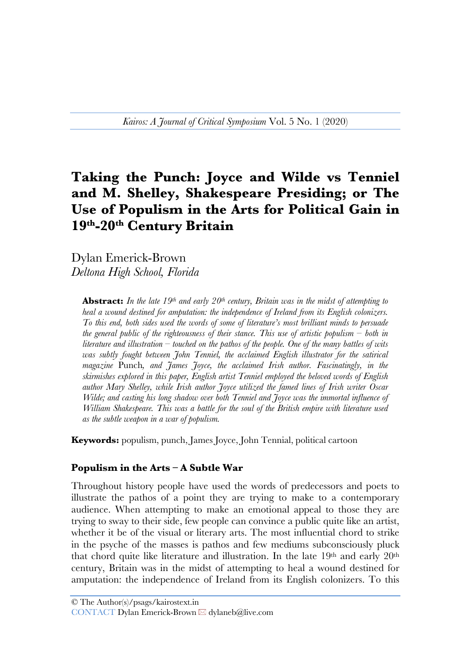# **Taking the Punch: Joyce and Wilde vs Tenniel and M. Shelley, Shakespeare Presiding; or The Use of Populism in the Arts for Political Gain in 19th-20th Century Britain**

Dylan Emerick-Brown *Deltona High School, Florida*

**Abstract:** In the late 19<sup>th</sup> and early 20<sup>th</sup> century, Britain was in the midst of attempting to *heal a wound destined for amputation: the independence of Ireland from its English colonizers. To this end, both sides used the words of some of literature's most brilliant minds to persuade the general public of the righteousness of their stance. This use of artistic populism – both in literature and illustration – touched on the pathos of the people. One of the many battles of wits was subtly fought between John Tenniel, the acclaimed English illustrator for the satirical magazine* Punch*, and James Joyce, the acclaimed Irish author. Fascinatingly, in the skirmishes explored in this paper, English artist Tenniel employed the beloved words of English author Mary Shelley, while Irish author Joyce utilized the famed lines of Irish writer Oscar Wilde; and casting his long shadow over both Tenniel and Joyce was the immortal influence of William Shakespeare. This was a battle for the soul of the British empire with literature used as the subtle weapon in a war of populism.*

**Keywords:** populism, punch, James Joyce, John Tennial, political cartoon

#### **Populism in the Arts – A Subtle War**

Throughout history people have used the words of predecessors and poets to illustrate the pathos of a point they are trying to make to a contemporary audience. When attempting to make an emotional appeal to those they are trying to sway to their side, few people can convince a public quite like an artist, whether it be of the visual or literary arts. The most influential chord to strike in the psyche of the masses is pathos and few mediums subconsciously pluck that chord quite like literature and illustration. In the late 19th and early 20th century, Britain was in the midst of attempting to heal a wound destined for amputation: the independence of Ireland from its English colonizers. To this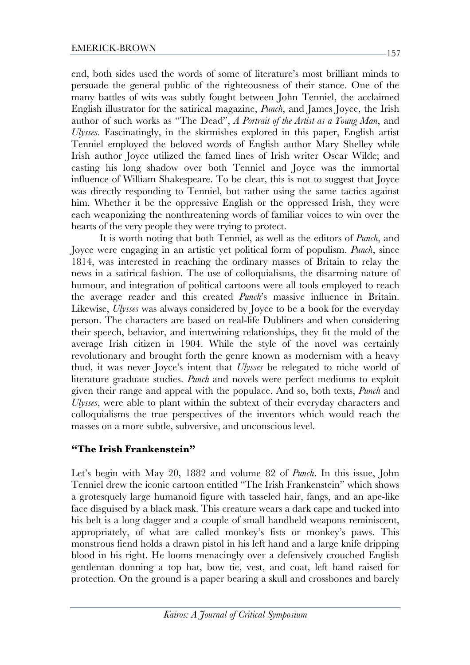end, both sides used the words of some of literature's most brilliant minds to persuade the general public of the righteousness of their stance. One of the many battles of wits was subtly fought between John Tenniel, the acclaimed English illustrator for the satirical magazine, *Punch*, and James Joyce, the Irish author of such works as "The Dead", *A Portrait of the Artist as a Young Man*, and *Ulysses*. Fascinatingly, in the skirmishes explored in this paper, English artist Tenniel employed the beloved words of English author Mary Shelley while Irish author Joyce utilized the famed lines of Irish writer Oscar Wilde; and casting his long shadow over both Tenniel and Joyce was the immortal influence of William Shakespeare. To be clear, this is not to suggest that Joyce was directly responding to Tenniel, but rather using the same tactics against him. Whether it be the oppressive English or the oppressed Irish, they were each weaponizing the nonthreatening words of familiar voices to win over the hearts of the very people they were trying to protect.

It is worth noting that both Tenniel, as well as the editors of *Punch*, and Joyce were engaging in an artistic yet political form of populism. *Punch*, since 1814, was interested in reaching the ordinary masses of Britain to relay the news in a satirical fashion. The use of colloquialisms, the disarming nature of humour, and integration of political cartoons were all tools employed to reach the average reader and this created *Punch*'s massive influence in Britain. Likewise, *Ulysses* was always considered by Joyce to be a book for the everyday person. The characters are based on real-life Dubliners and when considering their speech, behavior, and intertwining relationships, they fit the mold of the average Irish citizen in 1904. While the style of the novel was certainly revolutionary and brought forth the genre known as modernism with a heavy thud, it was never Joyce's intent that *Ulysses* be relegated to niche world of literature graduate studies. *Punch* and novels were perfect mediums to exploit given their range and appeal with the populace. And so, both texts, *Punch* and *Ulysses*, were able to plant within the subtext of their everyday characters and colloquialisms the true perspectives of the inventors which would reach the masses on a more subtle, subversive, and unconscious level.

## **"The Irish Frankenstein"**

Let's begin with May 20, 1882 and volume 82 of *Punch*. In this issue, John Tenniel drew the iconic cartoon entitled "The Irish Frankenstein" which shows a grotesquely large humanoid figure with tasseled hair, fangs, and an ape-like face disguised by a black mask. This creature wears a dark cape and tucked into his belt is a long dagger and a couple of small handheld weapons reminiscent, appropriately, of what are called monkey's fists or monkey's paws. This monstrous fiend holds a drawn pistol in his left hand and a large knife dripping blood in his right. He looms menacingly over a defensively crouched English gentleman donning a top hat, bow tie, vest, and coat, left hand raised for protection. On the ground is a paper bearing a skull and crossbones and barely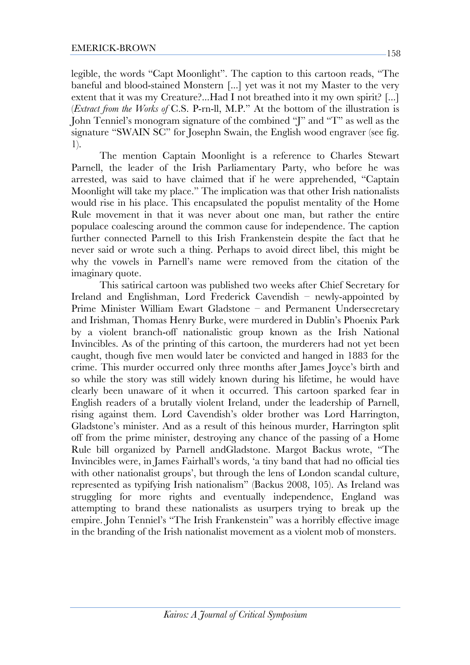legible, the words "Capt Moonlight". The caption to this cartoon reads, "The baneful and blood-stained Monstern [...] yet was it not my Master to the very extent that it was my Creature?...Had I not breathed into it my own spirit? [...] (*Extract from the Works of* C.S. P-rn-ll, M.P." At the bottom of the illustration is John Tenniel's monogram signature of the combined "J" and "T" as well as the signature "SWAIN SC" for Josephn Swain, the English wood engraver (see fig. 1).

The mention Captain Moonlight is a reference to Charles Stewart Parnell, the leader of the Irish Parliamentary Party, who before he was arrested, was said to have claimed that if he were apprehended, "Captain Moonlight will take my place." The implication was that other Irish nationalists would rise in his place. This encapsulated the populist mentality of the Home Rule movement in that it was never about one man, but rather the entire populace coalescing around the common cause for independence. The caption further connected Parnell to this Irish Frankenstein despite the fact that he never said or wrote such a thing. Perhaps to avoid direct libel, this might be why the vowels in Parnell's name were removed from the citation of the imaginary quote.

This satirical cartoon was published two weeks after Chief Secretary for Ireland and Englishman, Lord Frederick Cavendish – newly-appointed by Prime Minister William Ewart Gladstone – and Permanent Undersecretary and Irishman, Thomas Henry Burke, were murdered in Dublin's Phoenix Park by a violent branch-off nationalistic group known as the Irish National Invincibles. As of the printing of this cartoon, the murderers had not yet been caught, though five men would later be convicted and hanged in 1883 for the crime. This murder occurred only three months after James Joyce's birth and so while the story was still widely known during his lifetime, he would have clearly been unaware of it when it occurred. This cartoon sparked fear in English readers of a brutally violent Ireland, under the leadership of Parnell, rising against them. Lord Cavendish's older brother was Lord Harrington, Gladstone's minister. And as a result of this heinous murder, Harrington split off from the prime minister, destroying any chance of the passing of a Home Rule bill organized by Parnell andGladstone. Margot Backus wrote, "The Invincibles were, in James Fairhall's words, 'a tiny band that had no official ties with other nationalist groups', but through the lens of London scandal culture, represented as typifying Irish nationalism" (Backus 2008, 105). As Ireland was struggling for more rights and eventually independence, England was attempting to brand these nationalists as usurpers trying to break up the empire. John Tenniel's "The Irish Frankenstein" was a horribly effective image in the branding of the Irish nationalist movement as a violent mob of monsters.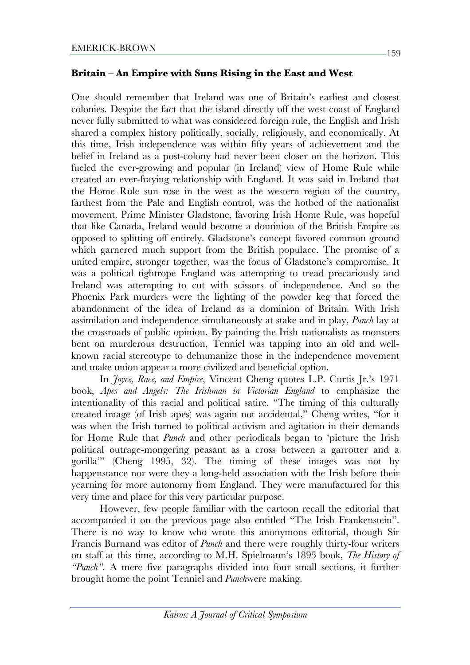#### **Britain – An Empire with Suns Rising in the East and West**

One should remember that Ireland was one of Britain's earliest and closest colonies. Despite the fact that the island directly off the west coast of England never fully submitted to what was considered foreign rule, the English and Irish shared a complex history politically, socially, religiously, and economically. At this time, Irish independence was within fifty years of achievement and the belief in Ireland as a post-colony had never been closer on the horizon. This fueled the ever-growing and popular (in Ireland) view of Home Rule while created an ever-fraying relationship with England. It was said in Ireland that the Home Rule sun rose in the west as the western region of the country, farthest from the Pale and English control, was the hotbed of the nationalist movement. Prime Minister Gladstone, favoring Irish Home Rule, was hopeful that like Canada, Ireland would become a dominion of the British Empire as opposed to splitting off entirely. Gladstone's concept favored common ground which garnered much support from the British populace. The promise of a united empire, stronger together, was the focus of Gladstone's compromise. It was a political tightrope England was attempting to tread precariously and Ireland was attempting to cut with scissors of independence. And so the Phoenix Park murders were the lighting of the powder keg that forced the abandonment of the idea of Ireland as a dominion of Britain. With Irish assimilation and independence simultaneously at stake and in play, *Punch* lay at the crossroads of public opinion. By painting the Irish nationalists as monsters bent on murderous destruction, Tenniel was tapping into an old and wellknown racial stereotype to dehumanize those in the independence movement and make union appear a more civilized and beneficial option.

In *Joyce, Race, and Empire*, Vincent Cheng quotes L.P. Curtis Jr.'s 1971 book, *Apes and Angels: The Irishman in Victorian England* to emphasize the intentionality of this racial and political satire. "The timing of this culturally created image (of Irish apes) was again not accidental," Cheng writes, "for it was when the Irish turned to political activism and agitation in their demands for Home Rule that *Punch* and other periodicals began to 'picture the Irish political outrage-mongering peasant as a cross between a garrotter and a gorilla'" (Cheng 1995, 32). The timing of these images was not by happenstance nor were they a long-held association with the Irish before their yearning for more autonomy from England. They were manufactured for this very time and place for this very particular purpose.

However, few people familiar with the cartoon recall the editorial that accompanied it on the previous page also entitled "The Irish Frankenstein". There is no way to know who wrote this anonymous editorial, though Sir Francis Burnand was editor of *Punch* and there were roughly thirty-four writers on staff at this time, according to M.H. Spielmann's 1895 book, *The History of "Punch"*. A mere five paragraphs divided into four small sections, it further brought home the point Tenniel and *Punch*were making.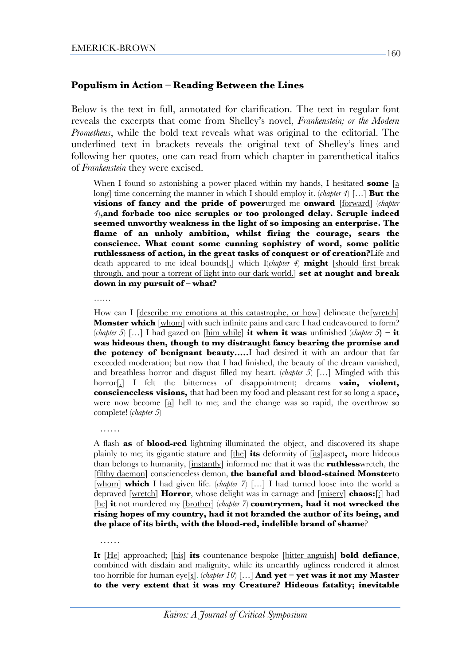#### **Populism in Action – Reading Between the Lines**

Below is the text in full, annotated for clarification. The text in regular font reveals the excerpts that come from Shelley's novel, *Frankenstein; or the Modern Prometheus*, while the bold text reveals what was original to the editorial. The underlined text in brackets reveals the original text of Shelley's lines and following her quotes, one can read from which chapter in parenthetical italics of *Frankenstein* they were excised.

When I found so astonishing a power placed within my hands, I hesitated **some** [a long] time concerning the manner in which I should employ it. (*chapter 4*) […] **But the**  visions of fancy and the pride of powerurged me onward [forward] (*chapter 4*)**,and forbade too nice scruples or too prolonged delay. Scruple indeed seemed unworthy weakness in the light of so imposing an enterprise. The flame of an unholy ambition, whilst firing the courage, sears the conscience. What count some cunning sophistry of word, some politic ruthlessness of action, in the great tasks of conquest or of creation?**Life and death appeared to me ideal bounds[,] which I(*chapter 4*) **might** [should first break through, and pour a torrent of light into our dark world.] **set at nought and break down in my pursuit of – what?**

……

……

……

How can I <u>[describe my emotions</u> at this catastrophe, or how] delineate the [wretch] **Monster which** [whom] with such infinite pains and care I had endeavoured to form? (*chapter 5*) [...] I had gazed on  $[\underline{\text{him while}}]$  **it when it was** unfinished (*chapter 5*) – **it was hideous then, though to my distraught fancy bearing the promise and the potency of benignant beauty…..**I had desired it with an ardour that far exceeded moderation; but now that I had finished, the beauty of the dream vanished, and breathless horror and disgust filled my heart. (*chapter 5*) […] Mingled with this horror[,] I felt the bitterness of disappointment; dreams **vain, violent, conscienceless visions,** that had been my food and pleasant rest for so long a space**,** were now become [a] hell to me; and the change was so rapid, the overthrow so complete! (*chapter 5*)

A flash **as** of **blood-red** lightning illuminated the object, and discovered its shape plainly to me; its gigantic stature and [the] **its** deformity of [its]aspect**,** more hideous than belongs to humanity, [instantly] informed me that it was the **ruthless**wretch, the [filthy daemon] conscienceless demon, **the baneful and blood-stained Monster**to [whom] **which** I had given life. (*chapter 7*) […] I had turned loose into the world a depraved [wretch] **Horror**, whose delight was in carnage and [misery] **chaos:**[;] had [he] **it** not murdered my [brother] (*chapter 7*) **countrymen, had it not wrecked the rising hopes of my country, had it not branded the author of its being, and the place of its birth, with the blood-red, indelible brand of shame**?

**It** [He] approached; [his] **its** countenance bespoke [bitter anguish] **bold defiance**, combined with disdain and malignity, while its unearthly ugliness rendered it almost too horrible for human eye[s]. (*chapter 10*) […] **And yet – yet was it not my Master to the very extent that it was my Creature? Hideous fatality; inevitable**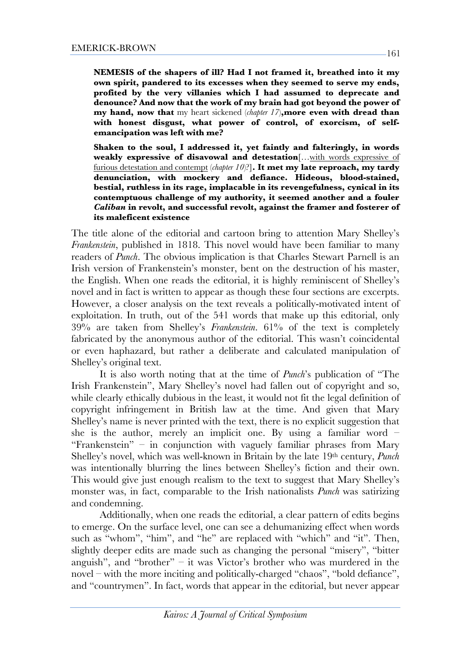**NEMESIS of the shapers of ill? Had I not framed it, breathed into it my own spirit, pandered to its excesses when they seemed to serve my ends, profited by the very villanies which I had assumed to deprecate and denounce? And now that the work of my brain had got beyond the power of my hand, now that** my heart sickened (*chapter 17*)**,more even with dread than with honest disgust, what power of control, of exorcism, of selfemancipation was left with me?**

**Shaken to the soul, I addressed it, yet faintly and falteringly, in words weakly expressive of disavowal and detestation**[…with words expressive of furious detestation and contempt (*chapter 10*)?]**. It met my late reproach, my tardy denunciation, with mockery and defiance. Hideous, blood-stained, bestial, ruthless in its rage, implacable in its revengefulness, cynical in its contemptuous challenge of my authority, it seemed another and a fouler**  *Caliban* **in revolt, and successful revolt, against the framer and fosterer of its maleficent existence**

The title alone of the editorial and cartoon bring to attention Mary Shelley's *Frankenstein*, published in 1818. This novel would have been familiar to many readers of *Punch*. The obvious implication is that Charles Stewart Parnell is an Irish version of Frankenstein's monster, bent on the destruction of his master, the English. When one reads the editorial, it is highly reminiscent of Shelley's novel and in fact is written to appear as though these four sections are excerpts. However, a closer analysis on the text reveals a politically-motivated intent of exploitation. In truth, out of the 541 words that make up this editorial, only 39% are taken from Shelley's *Frankenstein*. 61% of the text is completely fabricated by the anonymous author of the editorial. This wasn't coincidental or even haphazard, but rather a deliberate and calculated manipulation of Shelley's original text.

It is also worth noting that at the time of *Punch*'s publication of "The Irish Frankenstein", Mary Shelley's novel had fallen out of copyright and so, while clearly ethically dubious in the least, it would not fit the legal definition of copyright infringement in British law at the time. And given that Mary Shelley's name is never printed with the text, there is no explicit suggestion that she is the author, merely an implicit one. By using a familiar word  $-$ "Frankenstein" – in conjunction with vaguely familiar phrases from Mary Shelley's novel, which was well-known in Britain by the late 19th century, *Punch* was intentionally blurring the lines between Shelley's fiction and their own. This would give just enough realism to the text to suggest that Mary Shelley's monster was, in fact, comparable to the Irish nationalists *Punch* was satirizing and condemning.

Additionally, when one reads the editorial, a clear pattern of edits begins to emerge. On the surface level, one can see a dehumanizing effect when words such as "whom", "him", and "he" are replaced with "which" and "it". Then, slightly deeper edits are made such as changing the personal "misery", "bitter anguish", and "brother" – it was Victor's brother who was murdered in the novel – with the more inciting and politically-charged "chaos", "bold defiance", and "countrymen". In fact, words that appear in the editorial, but never appear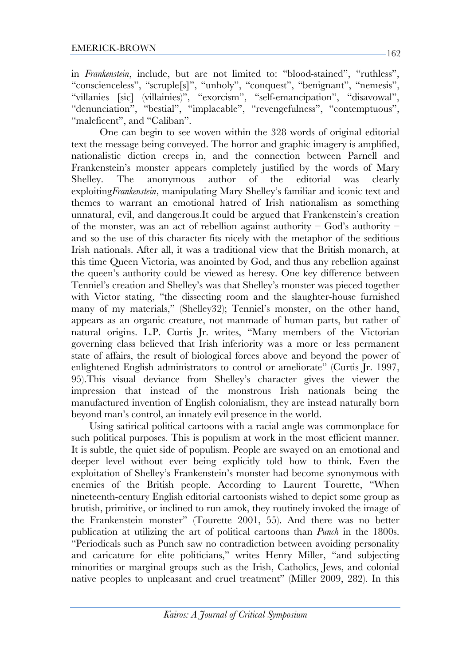in *Frankenstein*, include, but are not limited to: "blood-stained", "ruthless", "conscienceless", "scruple[s]", "unholy", "conquest", "benignant", "nemesis", "villanies [sic] (villainies)", "exorcism", "self-emancipation", "disavowal", "denunciation", "bestial", "implacable", "revengefulness", "contemptuous", "maleficent", and "Caliban".

One can begin to see woven within the 328 words of original editorial text the message being conveyed. The horror and graphic imagery is amplified, nationalistic diction creeps in, and the connection between Parnell and Frankenstein's monster appears completely justified by the words of Mary Shelley. The anonymous author of the editorial was clearly exploiting*Frankenstein*, manipulating Mary Shelley's familiar and iconic text and themes to warrant an emotional hatred of Irish nationalism as something unnatural, evil, and dangerous.It could be argued that Frankenstein's creation of the monster, was an act of rebellion against authority – God's authority – and so the use of this character fits nicely with the metaphor of the seditious Irish nationals. After all, it was a traditional view that the British monarch, at this time Queen Victoria, was anointed by God, and thus any rebellion against the queen's authority could be viewed as heresy. One key difference between Tenniel's creation and Shelley's was that Shelley's monster was pieced together with Victor stating, "the dissecting room and the slaughter-house furnished many of my materials," (Shelley32); Tenniel's monster, on the other hand, appears as an organic creature, not manmade of human parts, but rather of natural origins. L.P. Curtis Jr. writes, "Many members of the Victorian governing class believed that Irish inferiority was a more or less permanent state of affairs, the result of biological forces above and beyond the power of enlightened English administrators to control or ameliorate" (Curtis Jr. 1997, 95).This visual deviance from Shelley's character gives the viewer the impression that instead of the monstrous Irish nationals being the manufactured invention of English colonialism, they are instead naturally born beyond man's control, an innately evil presence in the world.

 Using satirical political cartoons with a racial angle was commonplace for such political purposes. This is populism at work in the most efficient manner. It is subtle, the quiet side of populism. People are swayed on an emotional and deeper level without ever being explicitly told how to think. Even the exploitation of Shelley's Frankenstein's monster had become synonymous with enemies of the British people. According to Laurent Tourette, "When nineteenth-century English editorial cartoonists wished to depict some group as brutish, primitive, or inclined to run amok, they routinely invoked the image of the Frankenstein monster" (Tourette 2001, 55). And there was no better publication at utilizing the art of political cartoons than *Punch* in the 1800s. "Periodicals such as Punch saw no contradiction between avoiding personality and caricature for elite politicians," writes Henry Miller, "and subjecting minorities or marginal groups such as the Irish, Catholics, Jews, and colonial native peoples to unpleasant and cruel treatment" (Miller 2009, 282). In this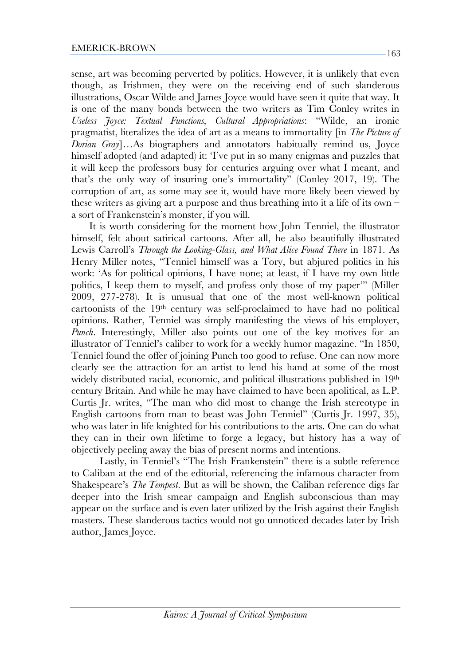sense, art was becoming perverted by politics. However, it is unlikely that even though, as Irishmen, they were on the receiving end of such slanderous illustrations, Oscar Wilde and James Joyce would have seen it quite that way. It is one of the many bonds between the two writers as Tim Conley writes in *Useless Joyce: Textual Functions, Cultural Appropriations*: "Wilde, an ironic pragmatist, literalizes the idea of art as a means to immortality [in *The Picture of Dorian Gray*]…As biographers and annotators habitually remind us, Joyce himself adopted (and adapted) it: 'I've put in so many enigmas and puzzles that it will keep the professors busy for centuries arguing over what I meant, and that's the only way of insuring one's immortality" (Conley 2017, 19). The corruption of art, as some may see it, would have more likely been viewed by these writers as giving art a purpose and thus breathing into it a life of its own – a sort of Frankenstein's monster, if you will.

 It is worth considering for the moment how John Tenniel, the illustrator himself, felt about satirical cartoons. After all, he also beautifully illustrated Lewis Carroll's *Through the Looking-Glass, and What Alice Found There* in 1871. As Henry Miller notes, "Tenniel himself was a Tory, but abjured politics in his work: 'As for political opinions, I have none; at least, if I have my own little politics, I keep them to myself, and profess only those of my paper'" (Miller 2009, 277-278). It is unusual that one of the most well-known political cartoonists of the 19th century was self-proclaimed to have had no political opinions. Rather, Tenniel was simply manifesting the views of his employer, *Punch*. Interestingly, Miller also points out one of the key motives for an illustrator of Tenniel's caliber to work for a weekly humor magazine. "In 1850, Tenniel found the offer of joining Punch too good to refuse. One can now more clearly see the attraction for an artist to lend his hand at some of the most widely distributed racial, economic, and political illustrations published in 19th century Britain. And while he may have claimed to have been apolitical, as L.P. Curtis Jr. writes, "The man who did most to change the Irish stereotype in English cartoons from man to beast was John Tenniel" (Curtis Jr. 1997, 35), who was later in life knighted for his contributions to the arts. One can do what they can in their own lifetime to forge a legacy, but history has a way of objectively peeling away the bias of present norms and intentions.

Lastly, in Tenniel's "The Irish Frankenstein" there is a subtle reference to Caliban at the end of the editorial, referencing the infamous character from Shakespeare's *The Tempest*. But as will be shown, the Caliban reference digs far deeper into the Irish smear campaign and English subconscious than may appear on the surface and is even later utilized by the Irish against their English masters. These slanderous tactics would not go unnoticed decades later by Irish author, James Joyce.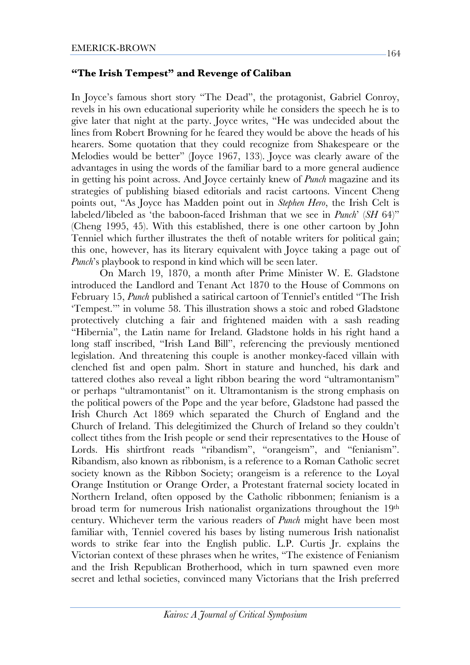### **"The Irish Tempest" and Revenge of Caliban**

In Joyce's famous short story "The Dead", the protagonist, Gabriel Conroy, revels in his own educational superiority while he considers the speech he is to give later that night at the party. Joyce writes, "He was undecided about the lines from Robert Browning for he feared they would be above the heads of his hearers. Some quotation that they could recognize from Shakespeare or the Melodies would be better" (Joyce 1967, 133). Joyce was clearly aware of the advantages in using the words of the familiar bard to a more general audience in getting his point across. And Joyce certainly knew of *Punch* magazine and its strategies of publishing biased editorials and racist cartoons. Vincent Cheng points out, "As Joyce has Madden point out in *Stephen Hero*, the Irish Celt is labeled/libeled as 'the baboon-faced Irishman that we see in *Punch*' (*SH* 64)" (Cheng 1995, 45). With this established, there is one other cartoon by John Tenniel which further illustrates the theft of notable writers for political gain; this one, however, has its literary equivalent with Joyce taking a page out of *Punch*'s playbook to respond in kind which will be seen later.

On March 19, 1870, a month after Prime Minister W. E. Gladstone introduced the Landlord and Tenant Act 1870 to the House of Commons on February 15, *Punch* published a satirical cartoon of Tenniel's entitled "The Irish 'Tempest.'" in volume 58. This illustration shows a stoic and robed Gladstone protectively clutching a fair and frightened maiden with a sash reading "Hibernia", the Latin name for Ireland. Gladstone holds in his right hand a long staff inscribed, "Irish Land Bill", referencing the previously mentioned legislation. And threatening this couple is another monkey-faced villain with clenched fist and open palm. Short in stature and hunched, his dark and tattered clothes also reveal a light ribbon bearing the word "ultramontanism" or perhaps "ultramontanist" on it. Ultramontanism is the strong emphasis on the political powers of the Pope and the year before, Gladstone had passed the Irish Church Act 1869 which separated the Church of England and the Church of Ireland. This delegitimized the Church of Ireland so they couldn't collect tithes from the Irish people or send their representatives to the House of Lords. His shirtfront reads "ribandism", "orangeism", and "fenianism". Ribandism, also known as ribbonism, is a reference to a Roman Catholic secret society known as the Ribbon Society; orangeism is a reference to the Loyal Orange Institution or Orange Order, a Protestant fraternal society located in Northern Ireland, often opposed by the Catholic ribbonmen; fenianism is a broad term for numerous Irish nationalist organizations throughout the 19th century. Whichever term the various readers of *Punch* might have been most familiar with, Tenniel covered his bases by listing numerous Irish nationalist words to strike fear into the English public. L.P. Curtis Jr. explains the Victorian context of these phrases when he writes, "The existence of Fenianism and the Irish Republican Brotherhood, which in turn spawned even more secret and lethal societies, convinced many Victorians that the Irish preferred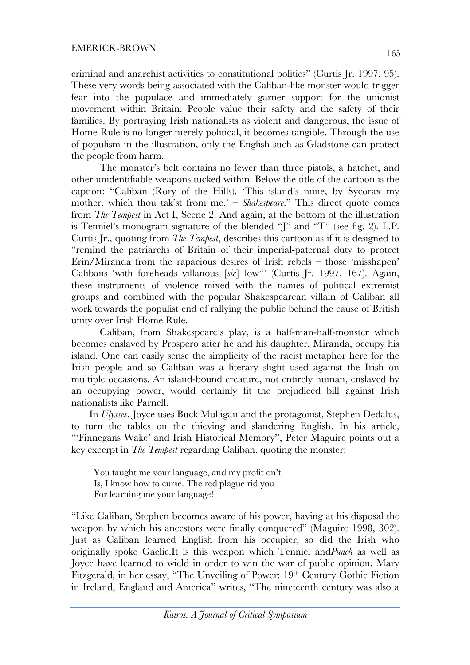criminal and anarchist activities to constitutional politics" (Curtis Jr. 1997, 95). These very words being associated with the Caliban-like monster would trigger fear into the populace and immediately garner support for the unionist movement within Britain. People value their safety and the safety of their families. By portraying Irish nationalists as violent and dangerous, the issue of Home Rule is no longer merely political, it becomes tangible. Through the use of populism in the illustration, only the English such as Gladstone can protect the people from harm.

The monster's belt contains no fewer than three pistols, a hatchet, and other unidentifiable weapons tucked within. Below the title of the cartoon is the caption: "Caliban (Rory of the Hills). 'This island's mine, by Sycorax my mother, which thou tak'st from me.' – *Shakespeare*." This direct quote comes from *The Tempest* in Act I, Scene 2. And again, at the bottom of the illustration is Tenniel's monogram signature of the blended "J" and "T" (see fig. 2). L.P. Curtis Jr., quoting from *The Tempest*, describes this cartoon as if it is designed to "remind the patriarchs of Britain of their imperial-paternal duty to protect Erin/Miranda from the rapacious desires of Irish rebels – those 'misshapen' Calibans 'with foreheads villanous [*sic*] low'" (Curtis Jr. 1997, 167). Again, these instruments of violence mixed with the names of political extremist groups and combined with the popular Shakespearean villain of Caliban all work towards the populist end of rallying the public behind the cause of British unity over Irish Home Rule.

Caliban, from Shakespeare's play, is a half-man-half-monster which becomes enslaved by Prospero after he and his daughter, Miranda, occupy his island. One can easily sense the simplicity of the racist metaphor here for the Irish people and so Caliban was a literary slight used against the Irish on multiple occasions. An island-bound creature, not entirely human, enslaved by an occupying power, would certainly fit the prejudiced bill against Irish nationalists like Parnell.

 In *Ulysses*, Joyce uses Buck Mulligan and the protagonist, Stephen Dedalus, to turn the tables on the thieving and slandering English. In his article, "'Finnegans Wake' and Irish Historical Memory", Peter Maguire points out a key excerpt in *The Tempest* regarding Caliban, quoting the monster:

You taught me your language, and my profit on't Is, I know how to curse. The red plague rid you For learning me your language!

"Like Caliban, Stephen becomes aware of his power, having at his disposal the weapon by which his ancestors were finally conquered" (Maguire 1998, 302). Just as Caliban learned English from his occupier, so did the Irish who originally spoke Gaelic.It is this weapon which Tenniel and*Punch* as well as Joyce have learned to wield in order to win the war of public opinion. Mary Fitzgerald, in her essay, "The Unveiling of Power: 19th Century Gothic Fiction in Ireland, England and America" writes, "The nineteenth century was also a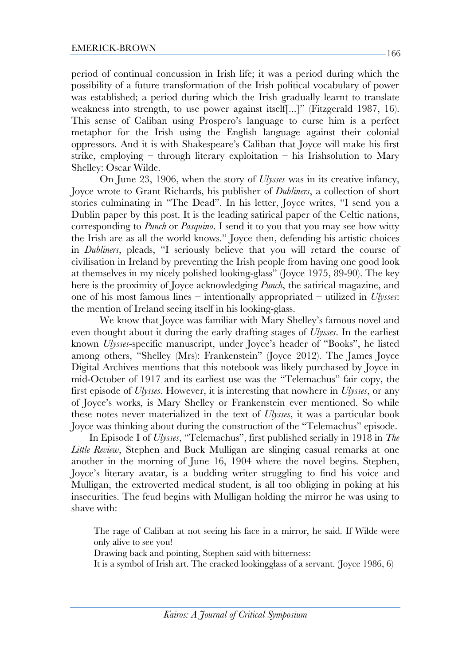period of continual concussion in Irish life; it was a period during which the possibility of a future transformation of the Irish political vocabulary of power was established; a period during which the Irish gradually learnt to translate weakness into strength, to use power against itself[...]" (Fitzgerald 1987, 16). This sense of Caliban using Prospero's language to curse him is a perfect metaphor for the Irish using the English language against their colonial oppressors. And it is with Shakespeare's Caliban that Joyce will make his first strike, employing – through literary exploitation – his Irishsolution to Mary Shelley: Oscar Wilde.

On June 23, 1906, when the story of *Ulysses* was in its creative infancy, Joyce wrote to Grant Richards, his publisher of *Dubliners*, a collection of short stories culminating in "The Dead". In his letter, Joyce writes, "I send you a Dublin paper by this post. It is the leading satirical paper of the Celtic nations, corresponding to *Punch* or *Pasquino*. I send it to you that you may see how witty the Irish are as all the world knows." Joyce then, defending his artistic choices in *Dubliners*, pleads, "I seriously believe that you will retard the course of civilisation in Ireland by preventing the Irish people from having one good look at themselves in my nicely polished looking-glass" (Joyce 1975, 89-90). The key here is the proximity of Joyce acknowledging *Punch*, the satirical magazine, and one of his most famous lines – intentionally appropriated – utilized in *Ulysses*: the mention of Ireland seeing itself in his looking-glass.

We know that Joyce was familiar with Mary Shelley's famous novel and even thought about it during the early drafting stages of *Ulysses*. In the earliest known *Ulysses*-specific manuscript, under Joyce's header of "Books", he listed among others, "Shelley (Mrs): Frankenstein" (Joyce 2012). The James Joyce Digital Archives mentions that this notebook was likely purchased by Joyce in mid-October of 1917 and its earliest use was the "Telemachus" fair copy, the first episode of *Ulysses*. However, it is interesting that nowhere in *Ulysses*, or any of Joyce's works, is Mary Shelley or Frankenstein ever mentioned. So while these notes never materialized in the text of *Ulysses*, it was a particular book Joyce was thinking about during the construction of the "Telemachus" episode.

 In Episode I of *Ulysses*, "Telemachus", first published serially in 1918 in *The Little Review*, Stephen and Buck Mulligan are slinging casual remarks at one another in the morning of June 16, 1904 where the novel begins. Stephen, Joyce's literary avatar, is a budding writer struggling to find his voice and Mulligan, the extroverted medical student, is all too obliging in poking at his insecurities. The feud begins with Mulligan holding the mirror he was using to shave with:

The rage of Caliban at not seeing his face in a mirror, he said. If Wilde were only alive to see you!

Drawing back and pointing, Stephen said with bitterness:

It is a symbol of Irish art. The cracked lookingglass of a servant. (Joyce 1986, 6)

166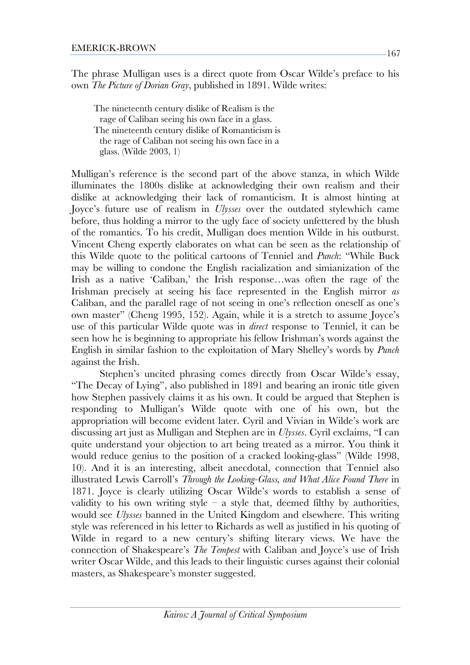The phrase Mulligan uses is a direct quote from Oscar Wilde's preface to his own *The Picture of Dorian Gray*, published in 1891. Wilde writes:

The nineteenth century dislike of Realism is the rage of Caliban seeing his own face in a glass. The nineteenth century dislike of Romanticism is the rage of Caliban not seeing his own face in a glass. (Wilde 2003, 1)

Mulligan's reference is the second part of the above stanza, in which Wilde illuminates the 1800s dislike at acknowledging their own realism and their dislike at acknowledging their lack of romanticism. It is almost hinting at Joyce's future use of realism in *Ulysses* over the outdated stylewhich came before, thus holding a mirror to the ugly face of society unfettered by the blush of the romantics. To his credit, Mulligan does mention Wilde in his outburst. Vincent Cheng expertly elaborates on what can be seen as the relationship of this Wilde quote to the political cartoons of Tenniel and *Punch*: "While Buck may be willing to condone the English racialization and simianization of the Irish as a native 'Caliban,' the Irish response…was often the rage of the Irishman precisely at seeing his face represented in the English mirror *as*  Caliban, and the parallel rage of not seeing in one's reflection oneself as one's own master" (Cheng 1995, 152). Again, while it is a stretch to assume Joyce's use of this particular Wilde quote was in *direct* response to Tenniel, it can be seen how he is beginning to appropriate his fellow Irishman's words against the English in similar fashion to the exploitation of Mary Shelley's words by *Punch* against the Irish.

Stephen's uncited phrasing comes directly from Oscar Wilde's essay, "The Decay of Lying", also published in 1891 and bearing an ironic title given how Stephen passively claims it as his own. It could be argued that Stephen is responding to Mulligan's Wilde quote with one of his own, but the appropriation will become evident later. Cyril and Vivian in Wilde's work are discussing art just as Mulligan and Stephen are in *Ulysses*. Cyril exclaims, "I can quite understand your objection to art being treated as a mirror. You think it would reduce genius to the position of a cracked looking-glass" (Wilde 1998, 10). And it is an interesting, albeit anecdotal, connection that Tenniel also illustrated Lewis Carroll's *Through the Looking-Glass, and What Alice Found There* in 1871. Joyce is clearly utilizing Oscar Wilde's words to establish a sense of validity to his own writing style – a style that, deemed filthy by authorities, would see *Ulysses* banned in the United Kingdom and elsewhere. This writing style was referenced in his letter to Richards as well as justified in his quoting of Wilde in regard to a new century's shifting literary views. We have the connection of Shakespeare's *The Tempest* with Caliban and Joyce's use of Irish writer Oscar Wilde, and this leads to their linguistic curses against their colonial masters, as Shakespeare's monster suggested.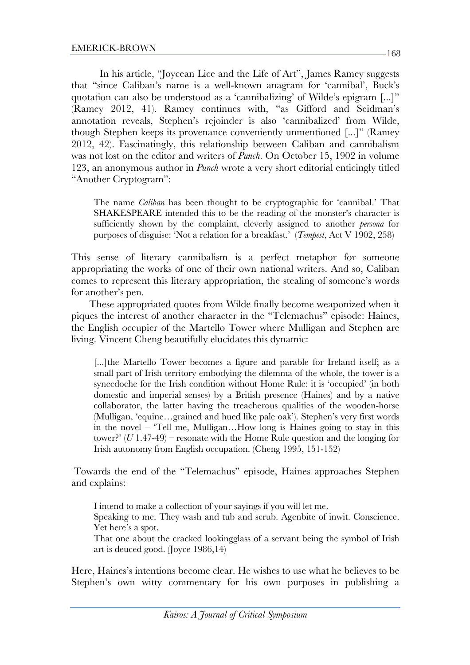In his article, "Joycean Lice and the Life of Art", James Ramey suggests that "since Caliban's name is a well-known anagram for 'cannibal', Buck's quotation can also be understood as a 'cannibalizing' of Wilde's epigram [...]" (Ramey 2012, 41). Ramey continues with, "as Gifford and Seidman's annotation reveals, Stephen's rejoinder is also 'cannibalized' from Wilde, though Stephen keeps its provenance conveniently unmentioned [...]" (Ramey 2012, 42). Fascinatingly, this relationship between Caliban and cannibalism was not lost on the editor and writers of *Punch*. On October 15, 1902 in volume 123, an anonymous author in *Punch* wrote a very short editorial enticingly titled

"Another Cryptogram":

The name *Caliban* has been thought to be cryptographic for 'cannibal.' That SHAKESPEARE intended this to be the reading of the monster's character is sufficiently shown by the complaint, cleverly assigned to another *persona* for purposes of disguise: 'Not a relation for a breakfast.' (*Tempest*, Act V 1902, 258)

This sense of literary cannibalism is a perfect metaphor for someone appropriating the works of one of their own national writers. And so, Caliban comes to represent this literary appropriation, the stealing of someone's words for another's pen.

 These appropriated quotes from Wilde finally become weaponized when it piques the interest of another character in the "Telemachus" episode: Haines, the English occupier of the Martello Tower where Mulligan and Stephen are living. Vincent Cheng beautifully elucidates this dynamic:

[...]the Martello Tower becomes a figure and parable for Ireland itself; as a small part of Irish territory embodying the dilemma of the whole, the tower is a synecdoche for the Irish condition without Home Rule: it is 'occupied' (in both domestic and imperial senses) by a British presence (Haines) and by a native collaborator, the latter having the treacherous qualities of the wooden-horse (Mulligan, 'equine…grained and hued like pale oak'). Stephen's very first words in the novel – 'Tell me, Mulligan…How long is Haines going to stay in this tower?'  $(U 1.47-49)$  – resonate with the Home Rule question and the longing for Irish autonomy from English occupation. (Cheng 1995, 151-152)

Towards the end of the "Telemachus" episode, Haines approaches Stephen and explains:

I intend to make a collection of your sayings if you will let me.

Speaking to me. They wash and tub and scrub. Agenbite of inwit. Conscience. Yet here's a spot.

That one about the cracked lookingglass of a servant being the symbol of Irish art is deuced good. (Joyce 1986,14)

Here, Haines's intentions become clear. He wishes to use what he believes to be Stephen's own witty commentary for his own purposes in publishing a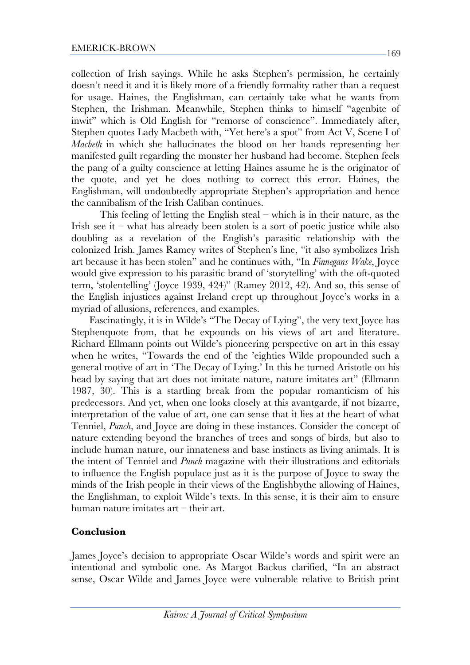collection of Irish sayings. While he asks Stephen's permission, he certainly doesn't need it and it is likely more of a friendly formality rather than a request for usage. Haines, the Englishman, can certainly take what he wants from Stephen, the Irishman. Meanwhile, Stephen thinks to himself "agenbite of inwit" which is Old English for "remorse of conscience". Immediately after, Stephen quotes Lady Macbeth with, "Yet here's a spot" from Act V, Scene I of *Macbeth* in which she hallucinates the blood on her hands representing her manifested guilt regarding the monster her husband had become. Stephen feels the pang of a guilty conscience at letting Haines assume he is the originator of the quote, and yet he does nothing to correct this error. Haines, the Englishman, will undoubtedly appropriate Stephen's appropriation and hence the cannibalism of the Irish Caliban continues.

This feeling of letting the English steal – which is in their nature, as the Irish see it – what has already been stolen is a sort of poetic justice while also doubling as a revelation of the English's parasitic relationship with the colonized Irish. James Ramey writes of Stephen's line, "it also symbolizes Irish art because it has been stolen" and he continues with, "In *Finnegans Wake*, Joyce would give expression to his parasitic brand of 'storytelling' with the oft-quoted term, 'stolentelling' (Joyce 1939, 424)" (Ramey 2012, 42). And so, this sense of the English injustices against Ireland crept up throughout Joyce's works in a myriad of allusions, references, and examples.

 Fascinatingly, it is in Wilde's "The Decay of Lying", the very text Joyce has Stephenquote from, that he expounds on his views of art and literature. Richard Ellmann points out Wilde's pioneering perspective on art in this essay when he writes, "Towards the end of the 'eighties Wilde propounded such a general motive of art in 'The Decay of Lying.' In this he turned Aristotle on his head by saying that art does not imitate nature, nature imitates art" (Ellmann 1987, 30). This is a startling break from the popular romanticism of his predecessors. And yet, when one looks closely at this avantgarde, if not bizarre, interpretation of the value of art, one can sense that it lies at the heart of what Tenniel, *Punch*, and Joyce are doing in these instances. Consider the concept of nature extending beyond the branches of trees and songs of birds, but also to include human nature, our innateness and base instincts as living animals. It is the intent of Tenniel and *Punch* magazine with their illustrations and editorials to influence the English populace just as it is the purpose of Joyce to sway the minds of the Irish people in their views of the Englishbythe allowing of Haines, the Englishman, to exploit Wilde's texts. In this sense, it is their aim to ensure human nature imitates art – their art.

#### **Conclusion**

James Joyce's decision to appropriate Oscar Wilde's words and spirit were an intentional and symbolic one. As Margot Backus clarified, "In an abstract sense, Oscar Wilde and James Joyce were vulnerable relative to British print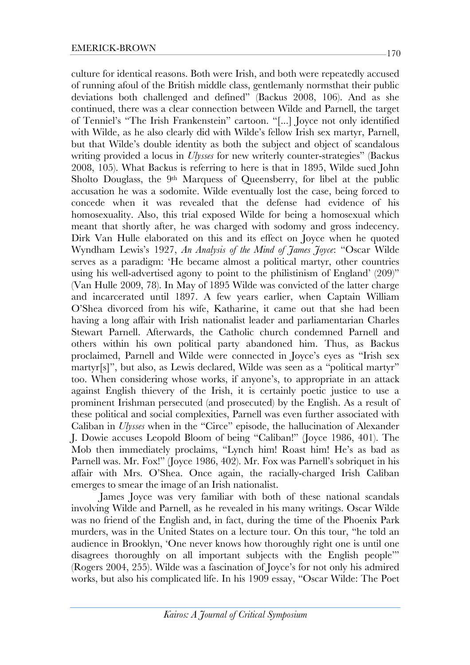culture for identical reasons. Both were Irish, and both were repeatedly accused of running afoul of the British middle class, gentlemanly normsthat their public deviations both challenged and defined" (Backus 2008, 106). And as she continued, there was a clear connection between Wilde and Parnell, the target of Tenniel's "The Irish Frankenstein" cartoon. "[...] Joyce not only identified with Wilde, as he also clearly did with Wilde's fellow Irish sex martyr, Parnell, but that Wilde's double identity as both the subject and object of scandalous writing provided a locus in *Ulysses* for new writerly counter-strategies" (Backus 2008, 105). What Backus is referring to here is that in 1895, Wilde sued John Sholto Douglass, the 9<sup>th</sup> Marquess of Queensberry, for libel at the public accusation he was a sodomite. Wilde eventually lost the case, being forced to concede when it was revealed that the defense had evidence of his homosexuality. Also, this trial exposed Wilde for being a homosexual which meant that shortly after, he was charged with sodomy and gross indecency. Dirk Van Hulle elaborated on this and its effect on Joyce when he quoted Wyndham Lewis's 1927, *An Analysis of the Mind of James Joyce*: "Oscar Wilde serves as a paradigm: 'He became almost a political martyr, other countries using his well-advertised agony to point to the philistinism of England' (209)" (Van Hulle 2009, 78). In May of 1895 Wilde was convicted of the latter charge and incarcerated until 1897. A few years earlier, when Captain William O'Shea divorced from his wife, Katharine, it came out that she had been having a long affair with Irish nationalist leader and parliamentarian Charles Stewart Parnell. Afterwards, the Catholic church condemned Parnell and others within his own political party abandoned him. Thus, as Backus proclaimed, Parnell and Wilde were connected in Joyce's eyes as "Irish sex martyr[s]", but also, as Lewis declared, Wilde was seen as a "political martyr" too. When considering whose works, if anyone's, to appropriate in an attack against English thievery of the Irish, it is certainly poetic justice to use a prominent Irishman persecuted (and prosecuted) by the English. As a result of these political and social complexities, Parnell was even further associated with Caliban in *Ulysses* when in the "Circe" episode, the hallucination of Alexander J. Dowie accuses Leopold Bloom of being "Caliban!" (Joyce 1986, 401). The Mob then immediately proclaims, "Lynch him! Roast him! He's as bad as Parnell was. Mr. Fox!" (Joyce 1986, 402). Mr. Fox was Parnell's sobriquet in his affair with Mrs. O'Shea. Once again, the racially-charged Irish Caliban emerges to smear the image of an Irish nationalist.

James Joyce was very familiar with both of these national scandals involving Wilde and Parnell, as he revealed in his many writings. Oscar Wilde was no friend of the English and, in fact, during the time of the Phoenix Park murders, was in the United States on a lecture tour. On this tour, "he told an audience in Brooklyn, 'One never knows how thoroughly right one is until one disagrees thoroughly on all important subjects with the English people'" (Rogers 2004, 255). Wilde was a fascination of Joyce's for not only his admired works, but also his complicated life. In his 1909 essay, "Oscar Wilde: The Poet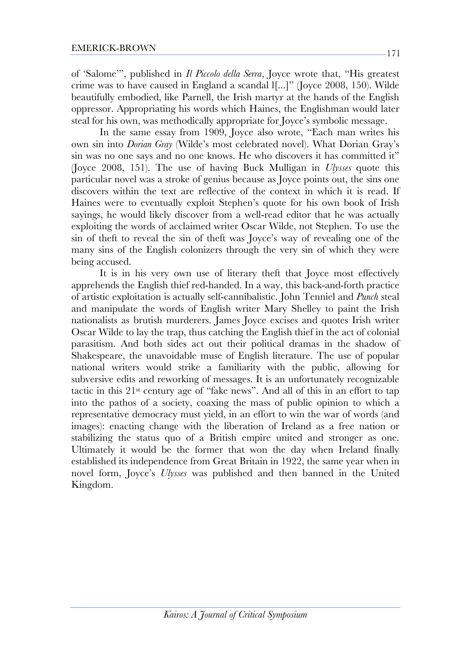of 'Salome'", published in *Il Piccolo della Serra*, Joyce wrote that, "His greatest crime was to have caused in England a scandal l[...]" (Joyce 2008, 150). Wilde beautifully embodied, like Parnell, the Irish martyr at the hands of the English oppressor. Appropriating his words which Haines, the Englishman would later steal for his own, was methodically appropriate for Joyce's symbolic message.

In the same essay from 1909, Joyce also wrote, "Each man writes his own sin into *Dorian Gray* (Wilde's most celebrated novel). What Dorian Gray's sin was no one says and no one knows. He who discovers it has committed it" (Joyce 2008, 151). The use of having Buck Mulligan in *Ulysses* quote this particular novel was a stroke of genius because as Joyce points out, the sins one discovers within the text are reflective of the context in which it is read. If Haines were to eventually exploit Stephen's quote for his own book of Irish sayings, he would likely discover from a well-read editor that he was actually exploiting the words of acclaimed writer Oscar Wilde, not Stephen. To use the sin of theft to reveal the sin of theft was Joyce's way of revealing one of the many sins of the English colonizers through the very sin of which they were being accused.

It is in his very own use of literary theft that Joyce most effectively apprehends the English thief red-handed. In a way, this back-and-forth practice of artistic exploitation is actually self-cannibalistic. John Tenniel and *Punch* steal and manipulate the words of English writer Mary Shelley to paint the Irish nationalists as brutish murderers. James Joyce excises and quotes Irish writer Oscar Wilde to lay the trap, thus catching the English thief in the act of colonial parasitism. And both sides act out their political dramas in the shadow of Shakespeare, the unavoidable muse of English literature. The use of popular national writers would strike a familiarity with the public, allowing for subversive edits and reworking of messages. It is an unfortunately recognizable tactic in this 21st century age of "fake news". And all of this in an effort to tap into the pathos of a society, coaxing the mass of public opinion to which a representative democracy must yield, in an effort to win the war of words (and images): enacting change with the liberation of Ireland as a free nation or stabilizing the status quo of a British empire united and stronger as one. Ultimately it would be the former that won the day when Ireland finally established its independence from Great Britain in 1922, the same year when in novel form, Joyce's *Ulysses* was published and then banned in the United Kingdom.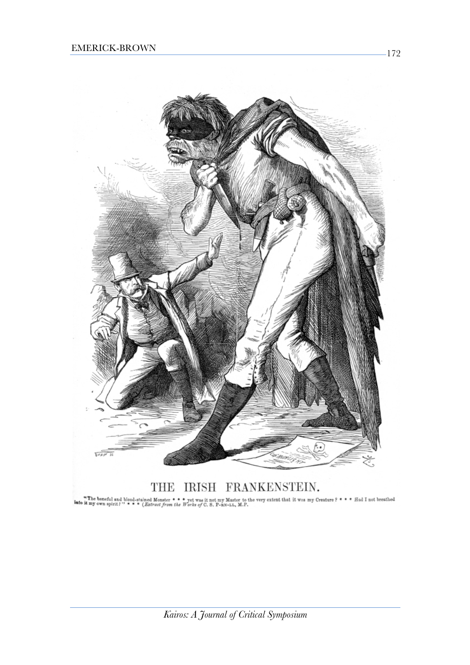

# THE IRISH FRANKENSTEIN.

The baneful and blood-stained Monster \* \* \* yet was it not my Master to the very extent that it was my Creature ? \* \* \* Had I not breathed tmy own spirit? " \* \* \* (Extract from the Works of C. S. P-nN-LL, M.P.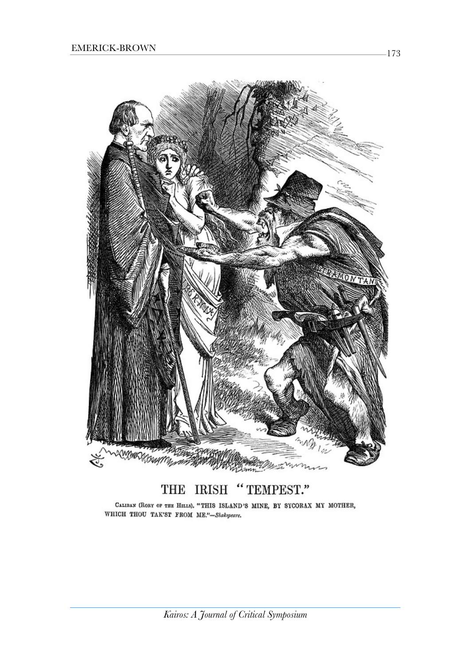

#### "TEMPEST." THE **IRISH**

CALIBAN (RORY OF THE HILLS). "THIS ISLAND'S MINE, BY SYCORAX MY MOTHER, WHICH THOU TAK'ST FROM ME."-Shakepeare.

173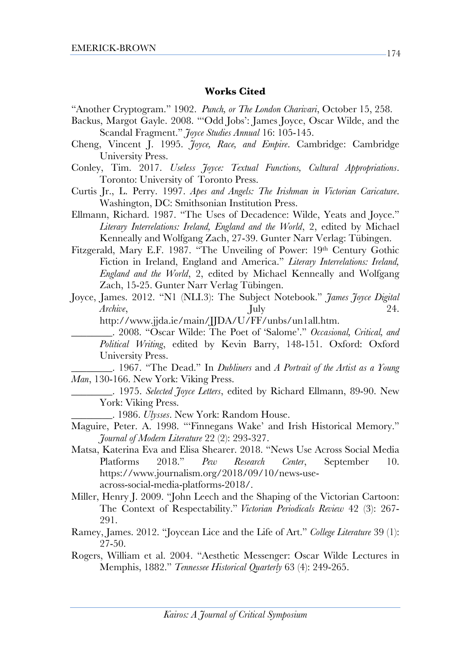#### **Works Cited**

- "Another Cryptogram." 1902. *Punch, or The London Charivari*, October 15, 258.
- Backus, Margot Gayle. 2008. "'Odd Jobs': James Joyce, Oscar Wilde, and the Scandal Fragment." *Joyce Studies Annual* 16: 105-145.
- Cheng, Vincent J. 1995. *Joyce, Race, and Empire*. Cambridge: Cambridge University Press.
- Conley, Tim. 2017. *Useless Joyce: Textual Functions, Cultural Appropriations*. Toronto: University of Toronto Press.
- Curtis Jr., L. Perry. 1997. *Apes and Angels: The Irishman in Victorian Caricature*. Washington, DC: Smithsonian Institution Press.
- Ellmann, Richard. 1987. "The Uses of Decadence: Wilde, Yeats and Joyce." *Literary Interrelations: Ireland, England and the World*, 2, edited by Michael Kenneally and Wolfgang Zach, 27-39. Gunter Narr Verlag: Tübingen.
- Fitzgerald, Mary E.F. 1987. "The Unveiling of Power: 19th Century Gothic Fiction in Ireland, England and America." *Literary Interrelations: Ireland, England and the World*, 2, edited by Michael Kenneally and Wolfgang Zach, 15-25. Gunter Narr Verlag Tübingen.
- Joyce, James. 2012. "N1 (NLI.3): The Subject Notebook." *James Joyce Digital Archive*, July *24.*

http://www.jjda.ie/main/JJDA/U/FF/unbs/un1all.htm.

\_\_\_\_\_\_\_\_. 2008. "Oscar Wilde: The Poet of 'Salome'." *Occasional, Critical, and Political Writing*, edited by Kevin Barry, 148-151. Oxford: Oxford University Press.

\_\_\_\_\_\_\_\_. 1967. "The Dead." In *Dubliners* and *A Portrait of the Artist as a Young Man*, 130-166. New York: Viking Press.

- \_\_\_\_\_\_\_\_. 1975. *Selected Joyce Letters*, edited by Richard Ellmann, 89-90. New York: Viking Press.
	- \_\_\_\_\_\_\_\_. 1986. *Ulysses*. New York: Random House.
- Maguire, Peter. A. 1998. "'Finnegans Wake' and Irish Historical Memory." *Journal of Modern Literature* 22 (2): 293-327.
- Matsa, Katerina Eva and Elisa Shearer. 2018. "News Use Across Social Media Platforms 2018." *Pew Research Center*, September 10. https://www.journalism.org/2018/09/10/news-useacross-social-media-platforms-2018/.
- Miller, Henry J. 2009. "John Leech and the Shaping of the Victorian Cartoon: The Context of Respectability." *Victorian Periodicals Review* 42 (3): 267- 291.
- Ramey, James. 2012. "Joycean Lice and the Life of Art." *College Literature* 39 (1): 27-50.
- Rogers, William et al. 2004. "Aesthetic Messenger: Oscar Wilde Lectures in Memphis, 1882." *Tennessee Historical Quarterly* 63 (4): 249-265.